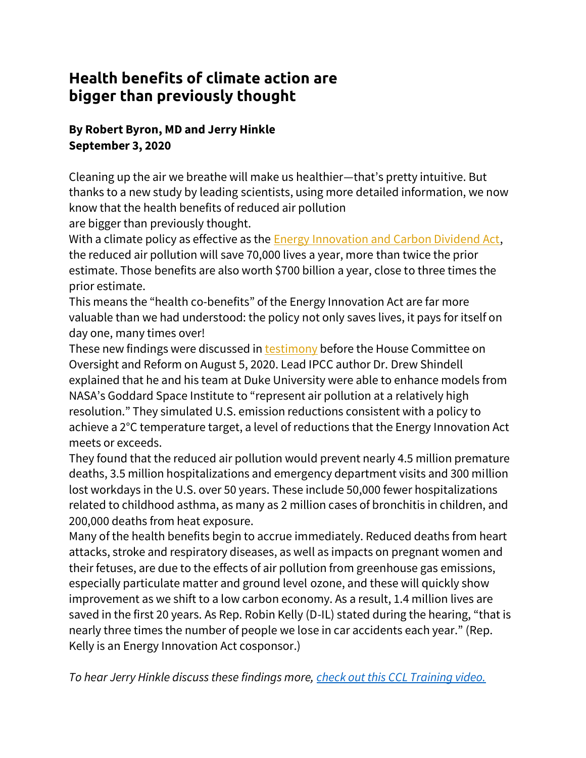## **Health benefits of climate action are bigger than previously thought**

## **By Robert Byron, MD and Jerry Hinkle September 3, 2020**

Cleaning up the air we breathe will make us healthier—that's pretty intuitive. But thanks to a new study by leading scientists, using more detailed information, we now know that the health benefits of reduced air pollution

are bigger than previously thought.

With a climate policy as effective as the **Energy Innovation and Carbon Dividend Act**, the reduced air pollution will save 70,000 lives a year, more than twice the prior estimate. Those benefits are also worth \$700 billion a year, close to three times the prior estimate.

This means the "health co-benefits" of the Energy Innovation Act are far more valuable than we had understood: the policy not only saves lives, it pays for itself on day one, many times over!

These new findings were discussed in [testimony](https://citizensclimatelobby.us9.list-manage.com/track/click?u=5bbb8e41445e981521eed8f2a&id=5724a7e031&e=a6af2a8616) before the House Committee on Oversight and Reform on August 5, 2020. Lead IPCC author Dr. Drew Shindell explained that he and his team at Duke University were able to enhance models from NASA's Goddard Space Institute to "represent air pollution at a relatively high resolution." They simulated U.S. emission reductions consistent with a policy to achieve a 2°C temperature target, a level of reductions that the Energy Innovation Act meets or exceeds.

They found that the reduced air pollution would prevent nearly 4.5 million premature deaths, 3.5 million hospitalizations and emergency department visits and 300 million lost workdays in the U.S. over 50 years. These include 50,000 fewer hospitalizations related to childhood asthma, as many as 2 million cases of bronchitis in children, and 200,000 deaths from heat exposure.

Many of the health benefits begin to accrue immediately. Reduced deaths from heart attacks, stroke and respiratory diseases, as well as impacts on pregnant women and their fetuses, are due to the effects of air pollution from greenhouse gas emissions, especially particulate matter and ground level ozone, and these will quickly show improvement as we shift to a low carbon economy. As a result, 1.4 million lives are saved in the first 20 years. As Rep. Robin Kelly (D-IL) stated during the hearing, "that is nearly three times the number of people we lose in car accidents each year." (Rep. Kelly is an Energy Innovation Act cosponsor.)

*To hear Jerry Hinkle discuss these findings more, [check out this CCL Training video.](https://www.youtube.com/watch?v=YeGgV65Uw78)*